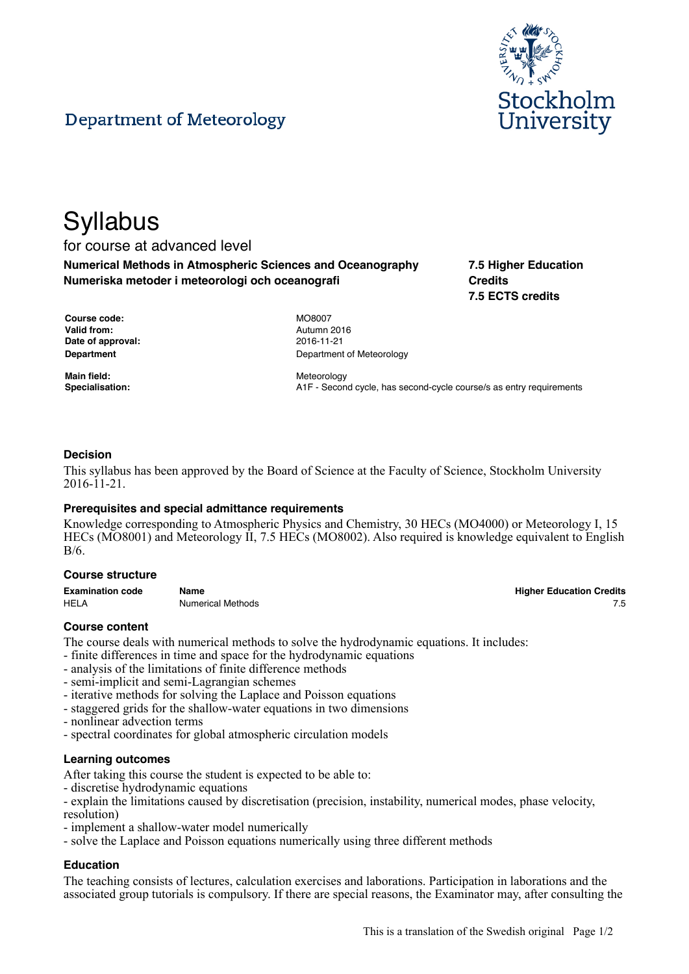



# **Syllabus**

# for course at advanced level

**Numerical Methods in Atmospheric Sciences and Oceanography Numeriska metoder i meteorologi och oceanografi**

**7.5 Higher Education Credits 7.5 ECTS credits**

| Course code:      |
|-------------------|
| Valid from:       |
| Date of approval: |
| Department        |

**Main field:** Meteorology

**Course code:** MO8007 **Valid from:** Autumn 2016 **Date of approval:** 2016-11-21 **Department of Meteorology** 

**Specialisation:** A1F - Second cycle, has second-cycle course/s as entry requirements

## **Decision**

This syllabus has been approved by the Board of Science at the Faculty of Science, Stockholm University 2016-11-21.

## **Prerequisites and special admittance requirements**

Knowledge corresponding to Atmospheric Physics and Chemistry, 30 HECs (MO4000) or Meteorology I, 15 HECs (MO8001) and Meteorology II, 7.5 HECs (MO8002). Also required is knowledge equivalent to English B/6.

#### **Course structure**

| <b>Examination code</b> | Name              | <b>Higher Education Credits</b> |
|-------------------------|-------------------|---------------------------------|
| <b>HELA</b>             | Numerical Methods |                                 |

## **Course content**

The course deals with numerical methods to solve the hydrodynamic equations. It includes:

- finite differences in time and space for the hydrodynamic equations
- analysis of the limitations of finite difference methods
- semi-implicit and semi-Lagrangian schemes
- iterative methods for solving the Laplace and Poisson equations
- staggered grids for the shallow-water equations in two dimensions
- nonlinear advection terms
- spectral coordinates for global atmospheric circulation models

## **Learning outcomes**

After taking this course the student is expected to be able to:

- discretise hydrodynamic equations
- explain the limitations caused by discretisation (precision, instability, numerical modes, phase velocity,
- resolution)
- implement a shallow-water model numerically
- solve the Laplace and Poisson equations numerically using three different methods

## **Education**

The teaching consists of lectures, calculation exercises and laborations. Participation in laborations and the associated group tutorials is compulsory. If there are special reasons, the Examinator may, after consulting the